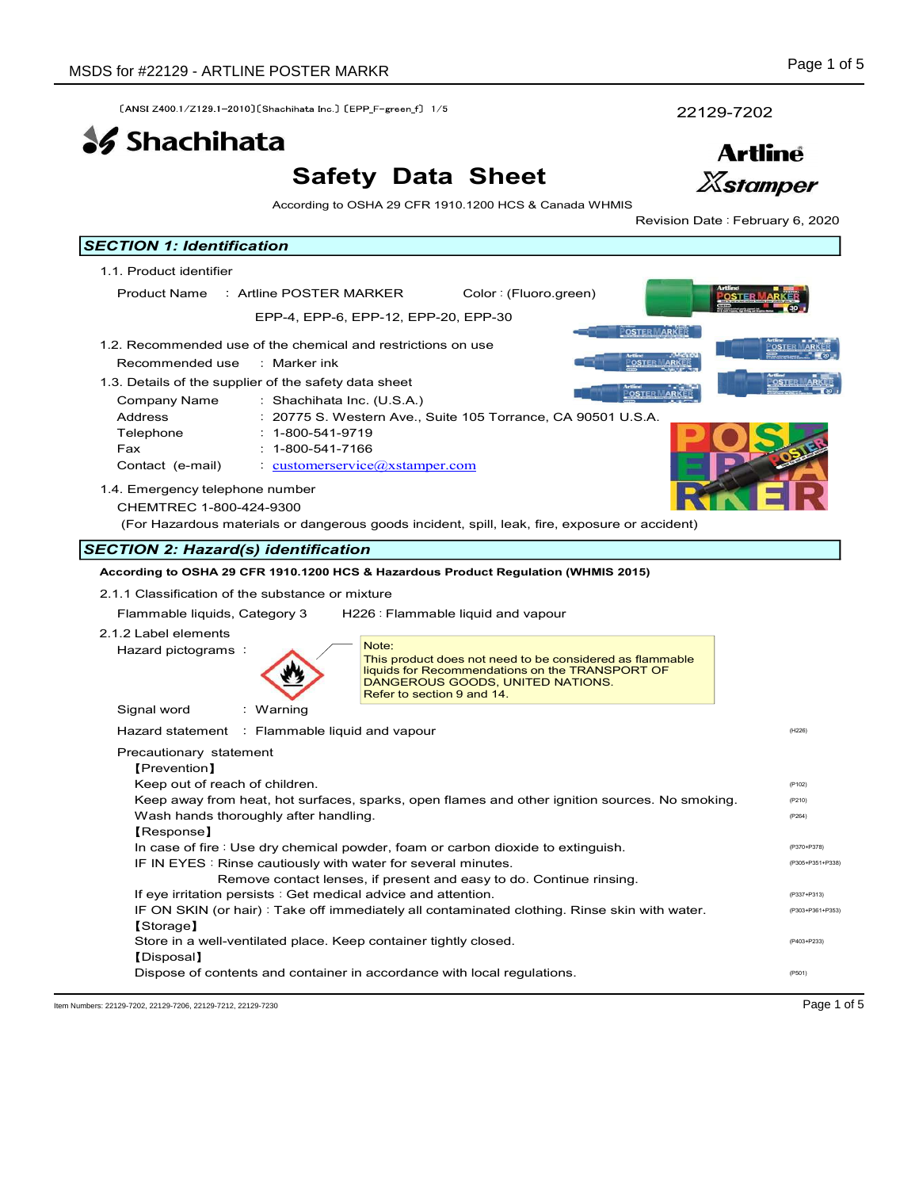# Safety Data Sheet



| SDS for #22129 - ARTLINE POSTER MARKR                            |                                                                                                             | Page 1 of 5                      |
|------------------------------------------------------------------|-------------------------------------------------------------------------------------------------------------|----------------------------------|
| [ANSI Z400.1/Z129.1-2010] [Shachihata Inc.] [EPP_F-green_f] 1/5  |                                                                                                             | 22129-7202                       |
| <b>SS</b> Shachihata                                             |                                                                                                             | <b>Artline</b>                   |
|                                                                  | <b>Safety Data Sheet</b>                                                                                    | <b>Xstamper</b>                  |
|                                                                  | According to OSHA 29 CFR 1910.1200 HCS & Canada WHMIS                                                       | Revision Date : February 6, 2020 |
| <b>SECTION 1: Identification</b>                                 |                                                                                                             |                                  |
| 1.1. Product identifier                                          |                                                                                                             |                                  |
| Product Name : Artline POSTER MARKER                             | Color: (Fluoro.green)                                                                                       |                                  |
|                                                                  | EPP-4, EPP-6, EPP-12, EPP-20, EPP-30<br><b>POSTER MARKER</b>                                                |                                  |
| 1.2. Recommended use of the chemical and restrictions on use     |                                                                                                             |                                  |
| Recommended use<br>: Marker ink                                  | <b>OSTER MARKER</b>                                                                                         |                                  |
| 1.3. Details of the supplier of the safety data sheet            | <u>POSTER MARK</u>                                                                                          |                                  |
| Company Name<br>: Shachihata Inc. (U.S.A.)<br>Address            | : 20775 S. Western Ave., Suite 105 Torrance, CA 90501 U.S.A.                                                |                                  |
| Telephone<br>$: 1 - 800 - 541 - 9719$                            |                                                                                                             |                                  |
| $: 1 - 800 - 541 - 7166$<br>Fax                                  |                                                                                                             |                                  |
| Contact (e-mail)                                                 | $\cdot$ customerservice $\omega$ xstamper.com                                                               |                                  |
| 1.4. Emergency telephone number                                  |                                                                                                             |                                  |
| CHEMTREC 1-800-424-9300                                          |                                                                                                             |                                  |
|                                                                  | (For Hazardous materials or dangerous goods incident, spill, leak, fire, exposure or accident)              |                                  |
| <b>SECTION 2: Hazard(s) identification</b>                       |                                                                                                             |                                  |
| 2.1.1 Classification of the substance or mixture                 | According to OSHA 29 CFR 1910.1200 HCS & Hazardous Product Regulation (WHMIS 2015)                          |                                  |
| Flammable liquids, Category 3                                    | H226 : Flammable liquid and vapour                                                                          |                                  |
| 2.1.2 Label elements                                             |                                                                                                             |                                  |
| Hazard pictograms :                                              | Note:                                                                                                       |                                  |
|                                                                  | This product does not need to be considered as flammable<br>liquids for Recommendations on the TRANSPORT OF |                                  |
|                                                                  | DANGEROUS GOODS, UNITED NATIONS.<br>Refer to section 9 and 14.                                              |                                  |
| Signal word<br>: Warning                                         |                                                                                                             |                                  |
| Hazard statement : Flammable liquid and vapour                   |                                                                                                             | (H226)                           |
| Precautionary statement                                          |                                                                                                             |                                  |
| [Prevention]                                                     |                                                                                                             |                                  |
| Keep out of reach of children.                                   | Keep away from heat, hot surfaces, sparks, open flames and other ignition sources. No smoking.              | (P102)<br>(P210)                 |
| Wash hands thoroughly after handling.                            |                                                                                                             | (P264)                           |
| [Response]                                                       |                                                                                                             |                                  |
| IF IN EYES : Rinse cautiously with water for several minutes.    | In case of fire: Use dry chemical powder, foam or carbon dioxide to extinguish.                             | (P370+P378)<br>(P305+P351+P338)  |
|                                                                  | Remove contact lenses, if present and easy to do. Continue rinsing.                                         |                                  |
| If eye irritation persists : Get medical advice and attention.   |                                                                                                             | (P337+P313)                      |
| [Storage]                                                        | IF ON SKIN (or hair): Take off immediately all contaminated clothing. Rinse skin with water.                | (P303+P361+P353)                 |
| Store in a well-ventilated place. Keep container tightly closed. |                                                                                                             | (P403+P233)                      |

Dispose of contents and container in accordance with local regulations. The example of contents and container in accordance with local regulations.

Item Numbers: 22129-7202, 22129-7206, 22129-7212, 22129-7212, 22129-7212, 22129-7212, 22129-7212, 22129-7212, 22129-7212, 22129-7212, 22129-7212, 22129-7212, 22129-7212, 22129-7212, 22129-7212, 22129-7230

Disposal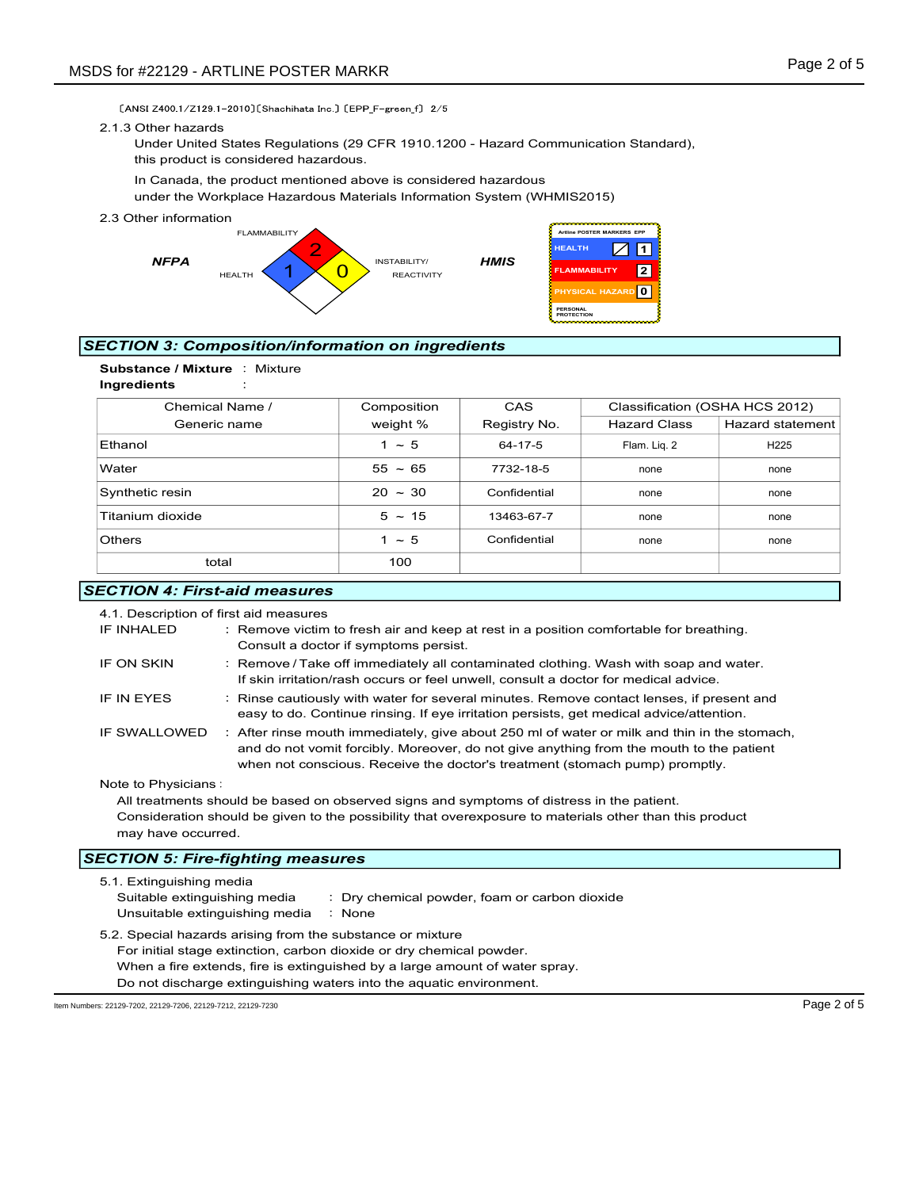#### 2.1.3 Other hazards



## SECTION 3: Composition/information on ingredients



| DS for #22129 - ARTLINE POSTER MARKR                               |                                       |                                                                                                                                                                                                                                                                                                                |                                                        |                                                                                                        | Page 2 of 5                    |
|--------------------------------------------------------------------|---------------------------------------|----------------------------------------------------------------------------------------------------------------------------------------------------------------------------------------------------------------------------------------------------------------------------------------------------------------|--------------------------------------------------------|--------------------------------------------------------------------------------------------------------|--------------------------------|
| 2.1.3 Other hazards                                                | this product is considered hazardous. | [ANSI Z400 1/Z129 1-2010] [Shachihata Inc.] [EPP_F-green f] 2/5<br>Under United States Regulations (29 CFR 1910.1200 - Hazard Communication Standard),<br>In Canada, the product mentioned above is considered hazardous<br>under the Workplace Hazardous Materials Information System (WHMIS2015)             |                                                        |                                                                                                        |                                |
| 2.3 Other information<br><b>NFPA</b>                               | <b>FLAMMABILITY</b><br><b>HEALTH</b>  | INSTABILITY/<br><b>REACTIVITY</b>                                                                                                                                                                                                                                                                              | <b>HEALTH</b><br><b>HMIS</b><br>PERSONAL<br>PROTECTION | Artline POSTER MARKERS EPP<br>$\angle$<br>$\vert$ 1<br> 2 <br><b>FLAMMABILITY</b><br>PHYSICAL HAZARD 0 |                                |
|                                                                    |                                       | <b>ECTION 3: Composition/information on ingredients</b>                                                                                                                                                                                                                                                        |                                                        |                                                                                                        |                                |
| Substance / Mixture : Mixture<br>Ingredients                       |                                       |                                                                                                                                                                                                                                                                                                                |                                                        |                                                                                                        |                                |
| Chemical Name /                                                    |                                       | Composition                                                                                                                                                                                                                                                                                                    | CAS                                                    |                                                                                                        | Classification (OSHA HCS 2012) |
| Generic name                                                       |                                       | weight %                                                                                                                                                                                                                                                                                                       | Registry No.                                           | <b>Hazard Class</b>                                                                                    | <b>Hazard statement</b>        |
| Ethanol                                                            |                                       | $1 \sim 5$                                                                                                                                                                                                                                                                                                     | 64-17-5                                                | Flam. Liq. 2                                                                                           | H225                           |
| Water                                                              |                                       | $55 - 65$                                                                                                                                                                                                                                                                                                      | 7732-18-5                                              | none                                                                                                   | none                           |
| Synthetic resin                                                    |                                       | $20 \sim 30$                                                                                                                                                                                                                                                                                                   | Confidential                                           | none                                                                                                   | none                           |
| Titanium dioxide                                                   |                                       | $5 \sim 15$                                                                                                                                                                                                                                                                                                    | 13463-67-7                                             | none                                                                                                   | none                           |
| Others                                                             |                                       | $1 \sim 5$                                                                                                                                                                                                                                                                                                     | Confidential                                           | none                                                                                                   | none                           |
| total                                                              |                                       | 100                                                                                                                                                                                                                                                                                                            |                                                        |                                                                                                        |                                |
| <b>ECTION 4: First-aid measures</b>                                |                                       |                                                                                                                                                                                                                                                                                                                |                                                        |                                                                                                        |                                |
| 4.1. Description of first aid measures<br>IF INHALED<br>IF ON SKIN |                                       | : Remove victim to fresh air and keep at rest in a position comfortable for breathing.<br>Consult a doctor if symptoms persist.<br>: Remove / Take off immediately all contaminated clothing. Wash with soap and water.<br>If skin irritation/rash occurs or feel unwell, consult a doctor for medical advice. |                                                        |                                                                                                        |                                |
| IF IN EYES                                                         |                                       | : Rinse cautiously with water for several minutes. Remove contact lenses, if present and<br>easy to do. Continue rinsing. If eye irritation persists, get medical advice/attention.                                                                                                                            |                                                        |                                                                                                        |                                |
| IF SWALLOWED                                                       |                                       | : After rinse mouth immediately, give about 250 ml of water or milk and thin in the stomach,<br>and do not vomit forcibly. Moreover, do not give anything from the mouth to the patient                                                                                                                        |                                                        |                                                                                                        |                                |

## **SECTION 4: First-aid measures**

| 4.1. Description of first aid measures |                                                                                                                                                                                                                                                                        |
|----------------------------------------|------------------------------------------------------------------------------------------------------------------------------------------------------------------------------------------------------------------------------------------------------------------------|
| IF INHALED                             | : Remove victim to fresh air and keep at rest in a position comfortable for breathing.<br>Consult a doctor if symptoms persist.                                                                                                                                        |
| IF ON SKIN                             | : Remove / Take off immediately all contaminated clothing. Wash with soap and water.<br>If skin irritation/rash occurs or feel unwell, consult a doctor for medical advice.                                                                                            |
| IF IN EYES                             | : Rinse cautiously with water for several minutes. Remove contact lenses, if present and<br>easy to do. Continue rinsing. If eye irritation persists, get medical advice/attention.                                                                                    |
| IF SWALLOWED                           | : After rinse mouth immediately, give about 250 ml of water or milk and thin in the stomach,<br>and do not vomit forcibly. Moreover, do not give anything from the mouth to the patient<br>when not conscious. Receive the doctor's treatment (stomach pump) promptly. |
| Note to Physicians:                    |                                                                                                                                                                                                                                                                        |
|                                        | All treatments should be based on observed signs and symptoms of distress in the patient.                                                                                                                                                                              |
| may have occurred.                     | Consideration should be given to the possibility that overexposure to materials other than this product                                                                                                                                                                |
|                                        | <b>SECTION 5: Fire-fighting measures</b>                                                                                                                                                                                                                               |
| 5.1. Extinguishing media               |                                                                                                                                                                                                                                                                        |
| Suitable extinguishing media           | : Dry chemical powder, foam or carbon dioxide                                                                                                                                                                                                                          |
| Unsuitable extinguishing media         | : None                                                                                                                                                                                                                                                                 |

5.2. Special hazards arising from the substance or mixture For initial stage extinction, carbon dioxide or dry chemical powder. When a fire extends, fire is extinguished by a large amount of water spray. Do not discharge extinguishing waters into the aquatic environment.

Item Numbers: 22129-7202, 22129-7206, 22129-7212, 22129-7230 Page 2 of 5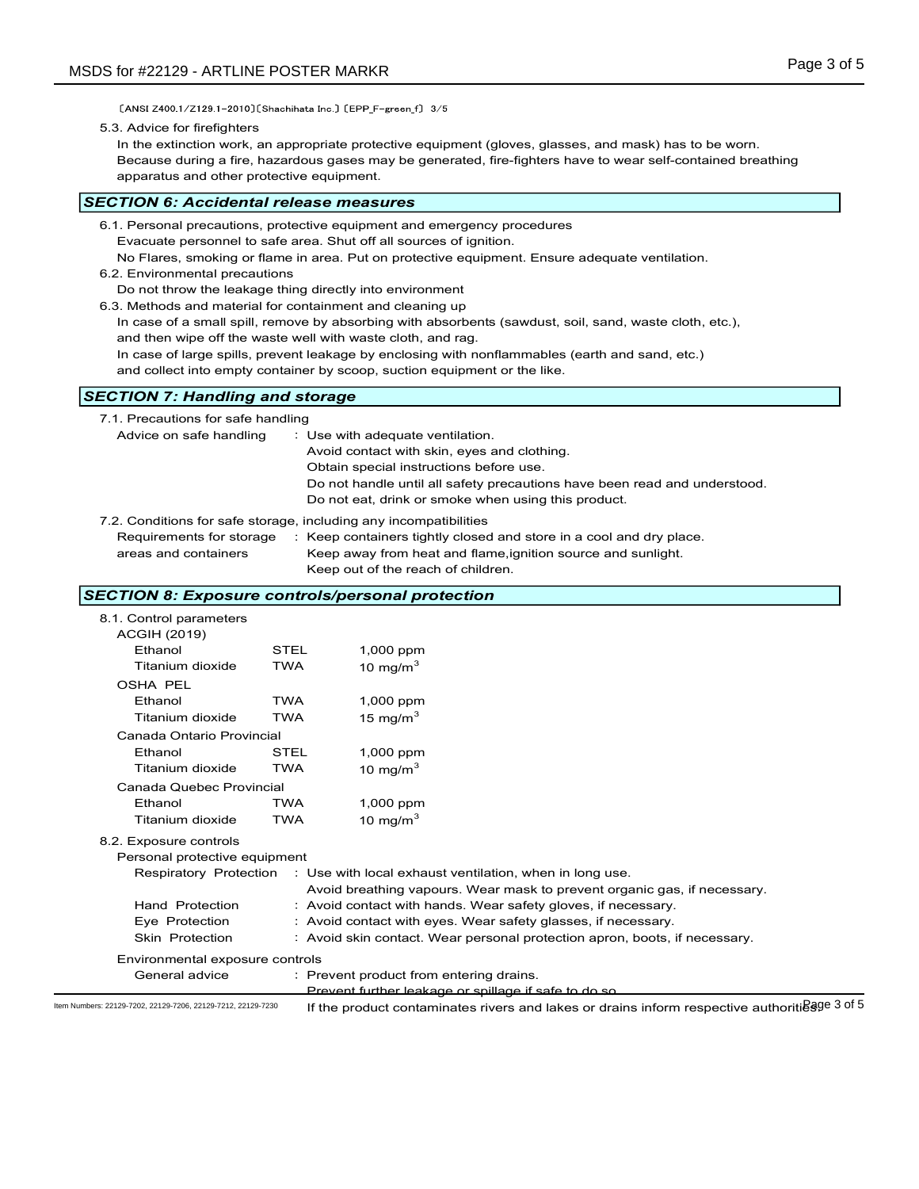$[ANSI Z400.1/Z129.1-2010][Shachihata Inc.]\,\, [EPP_F-green_f]\ 3/5$ 

#### 5.3. Advice for firefighters

In the extinction work, an appropriate protective equipment (gloves, glasses, and mask) has to be worn. Because during a fire, hazardous gases may be generated, fire-fighters have to wear self-contained breathing apparatus and other protective equipment.

## SECTION 6: Accidental release measures

- 6.2. Environmental precautions
- Do not throw the leakage thing directly into environment
- 6.3. Methods and material for containment and cleaning up
	- In case of a small spill, remove by absorbing with absorbents (sawdust, soil, sand, waste cloth, etc.), and then wipe off the waste well with waste cloth, and rag.
	- In case of large spills, prevent leakage by enclosing with nonflammables (earth and sand, etc.)

## **SECTION 7: Handling and storage**

| apparatus and other protective equipment.                                                                                                                                                                                           |                           |                                                                                                                                                                                                                         | Because during a fire, nazardous gases may be generated, fire-fighters have to wear self-contained breathing                                                                                                                                                                                                 |  |
|-------------------------------------------------------------------------------------------------------------------------------------------------------------------------------------------------------------------------------------|---------------------------|-------------------------------------------------------------------------------------------------------------------------------------------------------------------------------------------------------------------------|--------------------------------------------------------------------------------------------------------------------------------------------------------------------------------------------------------------------------------------------------------------------------------------------------------------|--|
| ECTION 6: Accidental release measures                                                                                                                                                                                               |                           |                                                                                                                                                                                                                         |                                                                                                                                                                                                                                                                                                              |  |
| 6.1. Personal precautions, protective equipment and emergency procedures<br>6.2. Environmental precautions<br>Do not throw the leakage thing directly into environment<br>6.3. Methods and material for containment and cleaning up |                           | Evacuate personnel to safe area. Shut off all sources of ignition.<br>and then wipe off the waste well with waste cloth, and rag.<br>and collect into empty container by scoop, suction equipment or the like.          | No Flares, smoking or flame in area. Put on protective equipment. Ensure adequate ventilation.<br>In case of a small spill, remove by absorbing with absorbents (sawdust, soil, sand, waste cloth, etc.),<br>In case of large spills, prevent leakage by enclosing with nonflammables (earth and sand, etc.) |  |
| <b>ECTION 7: Handling and storage</b>                                                                                                                                                                                               |                           |                                                                                                                                                                                                                         |                                                                                                                                                                                                                                                                                                              |  |
| 7.1. Precautions for safe handling<br>Advice on safe handling<br>7.2. Conditions for safe storage, including any incompatibilities<br>Requirements for storage<br>areas and containers                                              |                           | : Use with adequate ventilation.<br>Avoid contact with skin, eyes and clothing.<br>Obtain special instructions before use.<br>Do not eat, drink or smoke when using this product.<br>Keep out of the reach of children. | Do not handle until all safety precautions have been read and understood.<br>: Keep containers tightly closed and store in a cool and dry place.<br>Keep away from heat and flame, ignition source and sunlight.                                                                                             |  |
| ECTION 8: Exposure controls/personal protection                                                                                                                                                                                     |                           |                                                                                                                                                                                                                         |                                                                                                                                                                                                                                                                                                              |  |
| 8.1. Control parameters<br><b>ACGIH (2019)</b><br>Ethanol<br>Titanium dioxide                                                                                                                                                       | <b>STEL</b><br><b>TWA</b> | 1,000 ppm<br>10 mg/m $3$                                                                                                                                                                                                |                                                                                                                                                                                                                                                                                                              |  |
| <b>OSHA PEL</b><br>Ethanol<br>Titanium dioxide                                                                                                                                                                                      | <b>TWA</b><br><b>TWA</b>  | 1,000 ppm<br>15 mg/m $3$                                                                                                                                                                                                |                                                                                                                                                                                                                                                                                                              |  |
| Canada Ontario Provincial<br>Ethanol                                                                                                                                                                                                | STEL                      | 1,000 ppm                                                                                                                                                                                                               |                                                                                                                                                                                                                                                                                                              |  |

## SECTION 8: Exposure controls/personal protection

| <b>SECTION 7: Handling and storage</b> |                           |                                                                                        |  |
|----------------------------------------|---------------------------|----------------------------------------------------------------------------------------|--|
| 7.1. Precautions for safe handling     |                           |                                                                                        |  |
| Advice on safe handling                |                           | : Use with adequate ventilation.                                                       |  |
|                                        |                           | Avoid contact with skin, eyes and clothing.<br>Obtain special instructions before use. |  |
|                                        |                           | Do not handle until all safety precautions have been read and understood.              |  |
|                                        |                           | Do not eat, drink or smoke when using this product.                                    |  |
|                                        |                           | 7.2. Conditions for safe storage, including any incompatibilities                      |  |
| Requirements for storage               |                           | : Keep containers tightly closed and store in a cool and dry place.                    |  |
| areas and containers                   |                           | Keep away from heat and flame, ignition source and sunlight.                           |  |
| Keep out of the reach of children.     |                           |                                                                                        |  |
|                                        |                           |                                                                                        |  |
|                                        |                           | <b>SECTION 8: Exposure controls/personal protection</b>                                |  |
| 8.1. Control parameters                |                           |                                                                                        |  |
| <b>ACGIH (2019)</b>                    |                           |                                                                                        |  |
| Ethanol                                | <b>STEL</b><br><b>TWA</b> | 1,000 ppm                                                                              |  |
| Titanium dioxide                       |                           | 10 mg/m $3$                                                                            |  |
| <b>OSHA PEL</b><br>Ethanol             | <b>TWA</b>                |                                                                                        |  |
| Titanium dioxide                       | <b>TWA</b>                | 1,000 ppm<br>15 mg/m $3$                                                               |  |
| Canada Ontario Provincial              |                           |                                                                                        |  |
| Ethanol                                | STEL                      | 1,000 ppm                                                                              |  |
| Titanium dioxide                       | TWA                       | 10 mg/m $3$                                                                            |  |
| Canada Quebec Provincial               |                           |                                                                                        |  |
| Ethanol                                | <b>TWA</b>                | 1,000 ppm                                                                              |  |
| Titanium dioxide                       | <b>TWA</b>                | 10 mg/m $^3$                                                                           |  |
| 8.2. Exposure controls                 |                           |                                                                                        |  |
| Personal protective equipment          |                           |                                                                                        |  |
|                                        |                           | Respiratory Protection : Use with local exhaust ventilation, when in long use.         |  |
|                                        |                           | Avoid breathing vapours. Wear mask to prevent organic gas, if necessary.               |  |
| <b>Hand Protection</b>                 |                           | : Avoid contact with hands. Wear safety gloves, if necessary.                          |  |
|                                        |                           | : Avoid contact with eyes. Wear safety glasses, if necessary.                          |  |
| Eye Protection                         |                           |                                                                                        |  |
| Skin Protection                        |                           | : Avoid skin contact. Wear personal protection apron, boots, if necessary.             |  |
| Environmental exposure controls        |                           |                                                                                        |  |
| General advice                         |                           | : Prevent product from entering drains.                                                |  |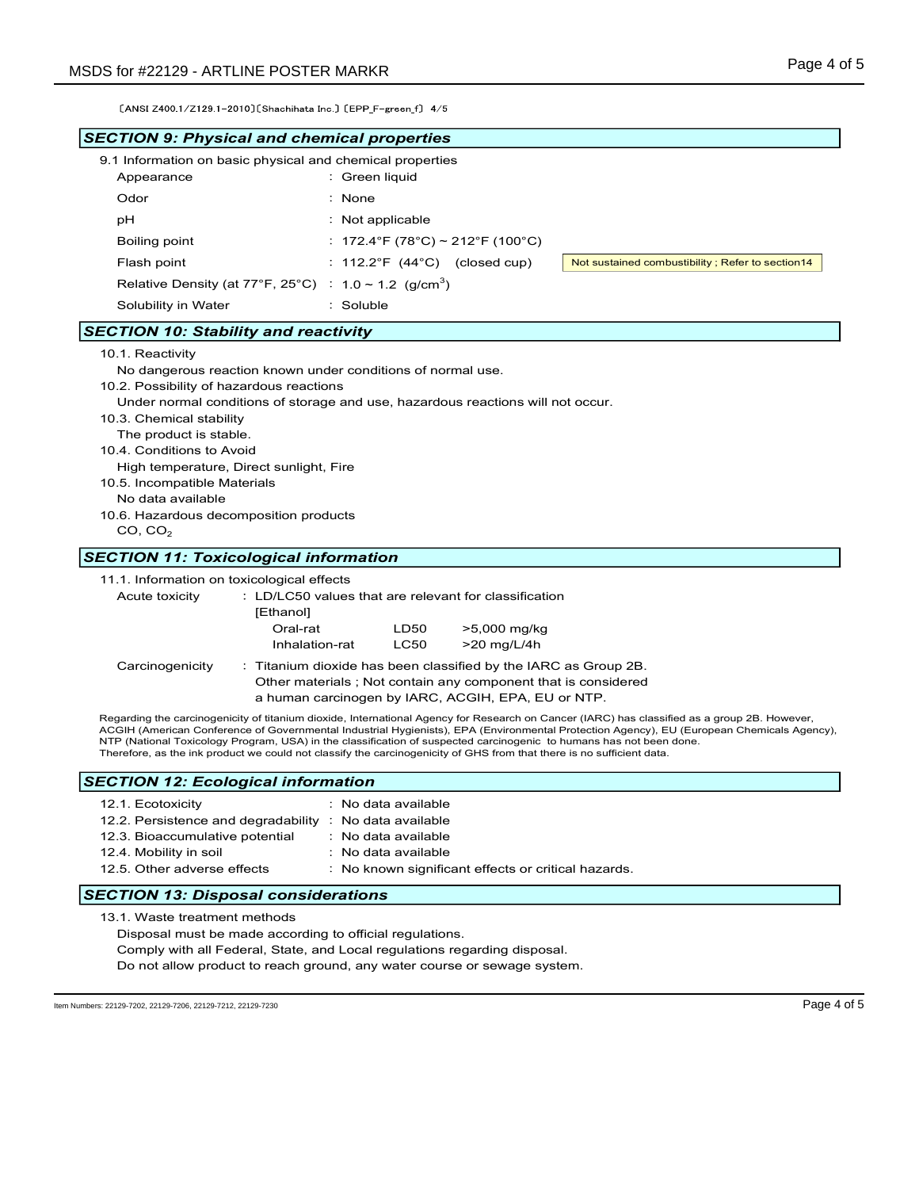| MSDS for #22129 - ARTLINE POSTER MARKR                                                                                                                                                                                                |                                                                                                                                                                                                                                              | Page 4 of 5                                                                                                                                                                                                                                                                               |
|---------------------------------------------------------------------------------------------------------------------------------------------------------------------------------------------------------------------------------------|----------------------------------------------------------------------------------------------------------------------------------------------------------------------------------------------------------------------------------------------|-------------------------------------------------------------------------------------------------------------------------------------------------------------------------------------------------------------------------------------------------------------------------------------------|
| [ANSI Z400 1/Z129 1-2010] [Shachihata Inc.] [EPP_F-green f] 4/5                                                                                                                                                                       |                                                                                                                                                                                                                                              |                                                                                                                                                                                                                                                                                           |
| <b>SECTION 9: Physical and chemical properties</b>                                                                                                                                                                                    |                                                                                                                                                                                                                                              |                                                                                                                                                                                                                                                                                           |
| 9.1 Information on basic physical and chemical properties<br>Appearance                                                                                                                                                               | : Green liquid                                                                                                                                                                                                                               |                                                                                                                                                                                                                                                                                           |
| Odor                                                                                                                                                                                                                                  | : None                                                                                                                                                                                                                                       |                                                                                                                                                                                                                                                                                           |
| рH                                                                                                                                                                                                                                    | $:$ Not applicable                                                                                                                                                                                                                           |                                                                                                                                                                                                                                                                                           |
| Boiling point                                                                                                                                                                                                                         | : 172.4°F (78°C) ~ 212°F (100°C)                                                                                                                                                                                                             |                                                                                                                                                                                                                                                                                           |
| Flash point                                                                                                                                                                                                                           | : $112.2^{\circ}F$ (44 $^{\circ}C$ ) (closed cup)                                                                                                                                                                                            | Not sustained combustibility; Refer to section14                                                                                                                                                                                                                                          |
| Relative Density (at 77°F, 25°C) : $1.0 \sim 1.2$ (g/cm <sup>3</sup> )                                                                                                                                                                |                                                                                                                                                                                                                                              |                                                                                                                                                                                                                                                                                           |
| Solubility in Water                                                                                                                                                                                                                   | : Soluble                                                                                                                                                                                                                                    |                                                                                                                                                                                                                                                                                           |
| <b>SECTION 10: Stability and reactivity</b>                                                                                                                                                                                           |                                                                                                                                                                                                                                              |                                                                                                                                                                                                                                                                                           |
| No dangerous reaction known under conditions of normal use.<br>10.2. Possibility of hazardous reactions<br>10.3. Chemical stability<br>The product is stable.<br>10.4. Conditions to Avoid<br>High temperature, Direct sunlight, Fire | Under normal conditions of storage and use, hazardous reactions will not occur.                                                                                                                                                              |                                                                                                                                                                                                                                                                                           |
| 10.5. Incompatible Materials<br>No data available<br>10.6. Hazardous decomposition products<br>CO, CO <sub>2</sub>                                                                                                                    |                                                                                                                                                                                                                                              |                                                                                                                                                                                                                                                                                           |
| <b>SECTION 11: Toxicological information</b>                                                                                                                                                                                          |                                                                                                                                                                                                                                              |                                                                                                                                                                                                                                                                                           |
| 11.1. Information on toxicological effects<br>Acute toxicity<br>[Ethanol]<br>Oral-rat<br>Inhalation-rat                                                                                                                               | : LD/LC50 values that are relevant for classification<br>>5,000 mg/kg<br>LD50<br><b>LC50</b><br>>20 mg/L/4h                                                                                                                                  |                                                                                                                                                                                                                                                                                           |
| Carcinogenicity                                                                                                                                                                                                                       | : Titanium dioxide has been classified by the IARC as Group 2B.<br>Other materials; Not contain any component that is considered<br>a human carcinogen by IARC, ACGIH, EPA, EU or NTP.                                                       |                                                                                                                                                                                                                                                                                           |
|                                                                                                                                                                                                                                       | NTP (National Toxicology Program, USA) in the classification of suspected carcinogenic to humans has not been done.<br>Therefore, as the ink product we could not classify the carcinogenicity of GHS from that there is no sufficient data. | Regarding the carcinogenicity of titanium dioxide, International Agency for Research on Cancer (IARC) has classified as a group 2B. However,<br>ACGIH (American Conference of Governmental Industrial Hygienists), EPA (Environmental Protection Agency), EU (European Chemicals Agency), |
| <b>SECTION 12: Ecological information</b>                                                                                                                                                                                             |                                                                                                                                                                                                                                              |                                                                                                                                                                                                                                                                                           |
| 12.1. Ecotoxicity                                                                                                                                                                                                                     | : No data available                                                                                                                                                                                                                          |                                                                                                                                                                                                                                                                                           |
| 12.2. Persistence and degradability : No data available                                                                                                                                                                               |                                                                                                                                                                                                                                              |                                                                                                                                                                                                                                                                                           |
| 12.3. Bioaccumulative potential<br>12.4. Mobility in soil                                                                                                                                                                             | : No data available<br>: No data available                                                                                                                                                                                                   |                                                                                                                                                                                                                                                                                           |

Do not allow product to reach ground, any water course or sewage system.